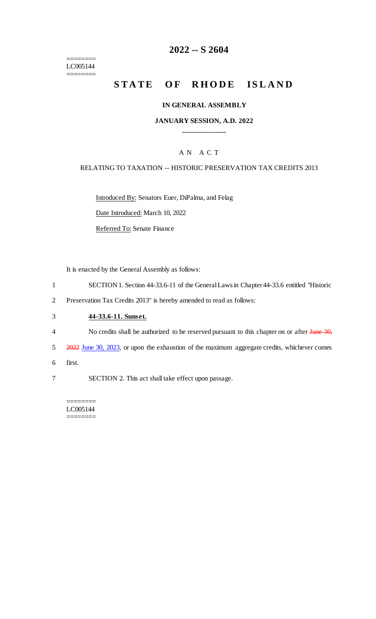$=$ LC005144 ========

## **2022 -- S 2604**

# **STATE OF RHODE ISLAND**

#### **IN GENERAL ASSEMBLY**

#### **JANUARY SESSION, A.D. 2022 \_\_\_\_\_\_\_\_\_\_\_\_**

#### A N A C T

#### RELATING TO TAXATION -- HISTORIC PRESERVATION TAX CREDITS 2013

Introduced By: Senators Euer, DiPalma, and Felag

Date Introduced: March 10, 2022

Referred To: Senate Finance

It is enacted by the General Assembly as follows:

- 1 SECTION 1. Section 44-33.6-11 of the General Laws in Chapter 44-33.6 entitled "Historic
- 2 Preservation Tax Credits 2013" is hereby amended to read as follows:

### 3 **44-33.6-11. Sunset.**

- 4 No credits shall be authorized to be reserved pursuant to this chapter on or after June 30,
- 5 2022 June 30, 2023, or upon the exhaustion of the maximum aggregate credits, whichever comes
- 6 first.
- 7 SECTION 2. This act shall take effect upon passage.

======== LC005144 ========